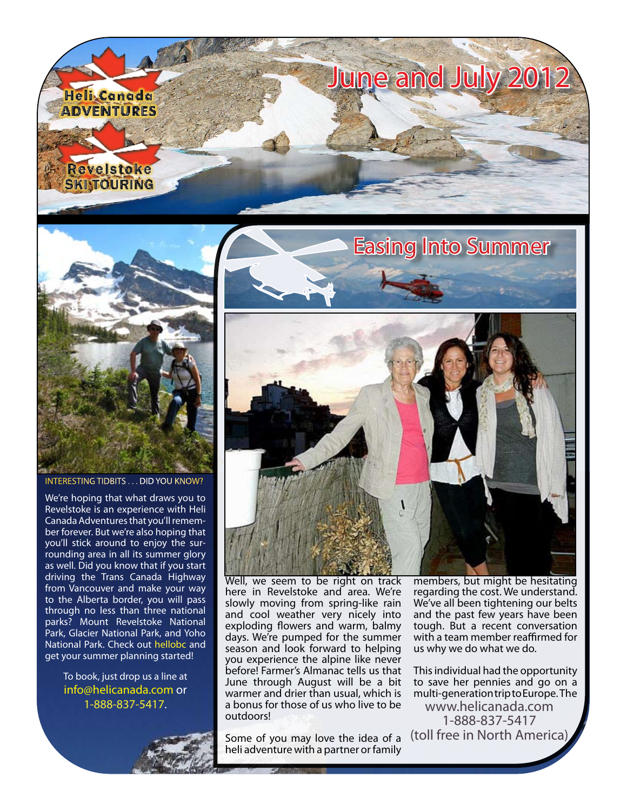



INTERESTING TIDBITS . . . DID YOU KNOW?

We're hoping that what draws you to Revelstoke is an experience with Heli Canada Adventures that you'll remember forever. But we're also hoping that you'll stick around to enjoy the surrounding area in all its summer glory as well. Did you know that if you start driving the Trans Canada Highway from Vancouver and make your way to the Alberta border, you will pass through no less than three national parks? Mount Revelstoke National Park, Glacier National Park, and Yoho National Park. Check out [hellobc](http://www.hellobc.com/revelstoke/things-to-do.aspx) and get your summer planning started!

> To book, just drop us a line at [info@helicanada.com](mailto:info@helicanada.com) or 1-888-837-5417.







Well, we seem to be right on track here in Revelstoke and area. We're slowly moving from spring-like rain and cool weather very nicely into exploding flowers and warm, balmy days. We're pumped for the summer season and look forward to helping you experience the alpine like never before! Farmer's Almanac tells us that June through August will be a bit warmer and drier than usual, which is a bonus for those of us who live to be outdoors!

Some of you may love the idea of a heli adventure with a partner or family

members, but might be hesitating regarding the cost. We understand. We've all been tightening our belts and the past few years have been tough. But a recent conversation with a team member reaffirmed for us why we do what we do.

This individual had the opportunity to save her pennies and go on a multi-generation trip to Europe. The [www.helicanada.com](http://www.helicanada.com) 1-888-837-5417 (toll free in North America)